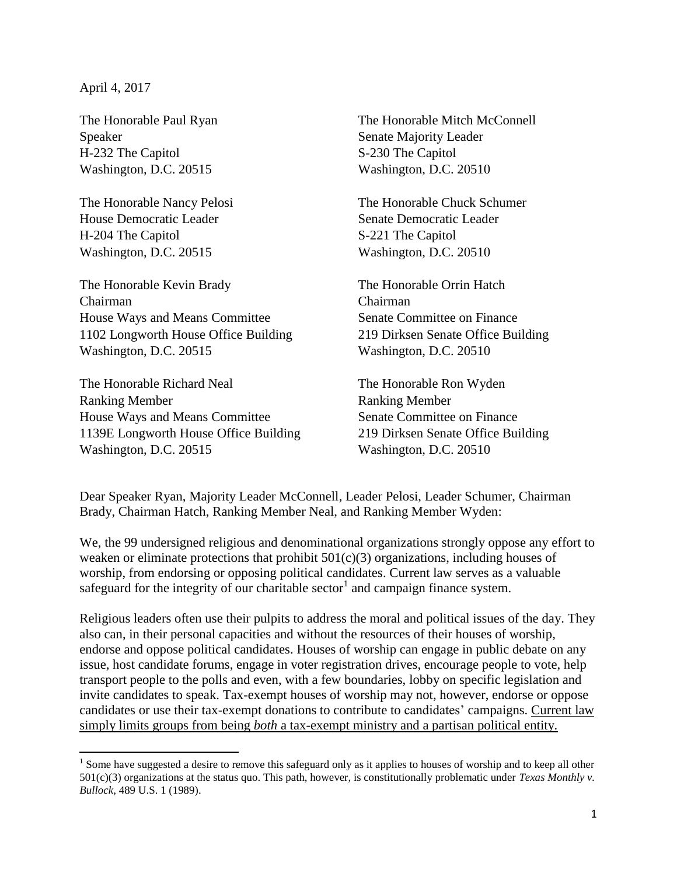April 4, 2017

The Honorable Paul Ryan Speaker H-232 The Capitol Washington, D.C. 20515

The Honorable Nancy Pelosi House Democratic Leader H-204 The Capitol Washington, D.C. 20515

The Honorable Kevin Brady Chairman House Ways and Means Committee 1102 Longworth House Office Building Washington, D.C. 20515

The Honorable Richard Neal Ranking Member House Ways and Means Committee 1139E Longworth House Office Building Washington, D.C. 20515

The Honorable Mitch McConnell Senate Majority Leader S-230 The Capitol Washington, D.C. 20510

The Honorable Chuck Schumer Senate Democratic Leader S-221 The Capitol Washington, D.C. 20510

The Honorable Orrin Hatch Chairman Senate Committee on Finance 219 Dirksen Senate Office Building Washington, D.C. 20510

The Honorable Ron Wyden Ranking Member Senate Committee on Finance 219 Dirksen Senate Office Building Washington, D.C. 20510

Dear Speaker Ryan, Majority Leader McConnell, Leader Pelosi, Leader Schumer, Chairman Brady, Chairman Hatch, Ranking Member Neal, and Ranking Member Wyden:

We, the 99 undersigned religious and denominational organizations strongly oppose any effort to weaken or eliminate protections that prohibit  $501(c)(3)$  organizations, including houses of worship, from endorsing or opposing political candidates. Current law serves as a valuable safeguard for the integrity of our charitable sector<sup>1</sup> and campaign finance system.

Religious leaders often use their pulpits to address the moral and political issues of the day. They also can, in their personal capacities and without the resources of their houses of worship, endorse and oppose political candidates. Houses of worship can engage in public debate on any issue, host candidate forums, engage in voter registration drives, encourage people to vote, help transport people to the polls and even, with a few boundaries, lobby on specific legislation and invite candidates to speak. Tax-exempt houses of worship may not, however, endorse or oppose candidates or use their tax-exempt donations to contribute to candidates' campaigns. Current law simply limits groups from being *both* a tax-exempt ministry and a partisan political entity.

 $\overline{\phantom{a}}$ <sup>1</sup> Some have suggested a desire to remove this safeguard only as it applies to houses of worship and to keep all other 501(c)(3) organizations at the status quo. This path, however, is constitutionally problematic under *Texas Monthly v. Bullock*, 489 U.S. 1 (1989).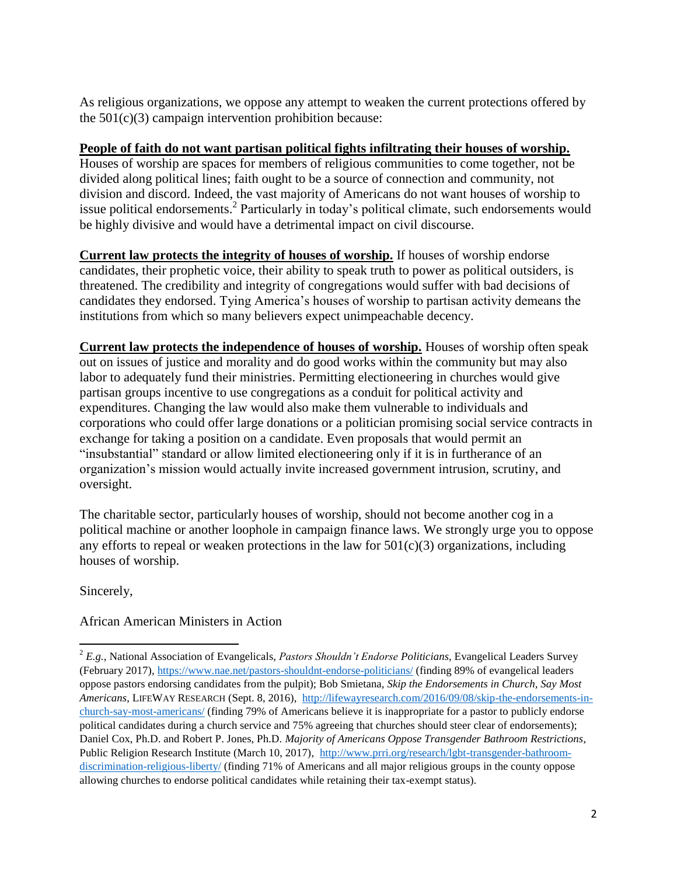As religious organizations, we oppose any attempt to weaken the current protections offered by the  $501(c)(3)$  campaign intervention prohibition because:

## **People of faith do not want partisan political fights infiltrating their houses of worship.**

Houses of worship are spaces for members of religious communities to come together, not be divided along political lines; faith ought to be a source of connection and community, not division and discord. Indeed, the vast majority of Americans do not want houses of worship to issue political endorsements. 2 Particularly in today's political climate, such endorsements would be highly divisive and would have a detrimental impact on civil discourse.

**Current law protects the integrity of houses of worship.** If houses of worship endorse candidates, their prophetic voice, their ability to speak truth to power as political outsiders, is threatened. The credibility and integrity of congregations would suffer with bad decisions of candidates they endorsed. Tying America's houses of worship to partisan activity demeans the institutions from which so many believers expect unimpeachable decency.

**Current law protects the independence of houses of worship.** Houses of worship often speak out on issues of justice and morality and do good works within the community but may also labor to adequately fund their ministries. Permitting electioneering in churches would give partisan groups incentive to use congregations as a conduit for political activity and expenditures. Changing the law would also make them vulnerable to individuals and corporations who could offer large donations or a politician promising social service contracts in exchange for taking a position on a candidate. Even proposals that would permit an "insubstantial" standard or allow limited electioneering only if it is in furtherance of an organization's mission would actually invite increased government intrusion, scrutiny, and oversight.

The charitable sector, particularly houses of worship, should not become another cog in a political machine or another loophole in campaign finance laws. We strongly urge you to oppose any efforts to repeal or weaken protections in the law for  $501(c)(3)$  organizations, including houses of worship.

Sincerely,

 $\overline{\phantom{a}}$ 

## African American Ministers in Action

<sup>2</sup> *E.g.,* National Association of Evangelicals, *Pastors Shouldn't Endorse Politicians*, Evangelical Leaders Survey (February 2017),<https://www.nae.net/pastors-shouldnt-endorse-politicians/> (finding 89% of evangelical leaders oppose pastors endorsing candidates from the pulpit); Bob Smietana, *Skip the Endorsements in Church, Say Most Americans*, LIFEWAY RESEARCH (Sept. 8, 2016), [http://lifewayresearch.com/2016/09/08/skip-the-endorsements-in](http://lifewayresearch.com/2016/09/08/skip-the-endorsements-in-church-say-most-americans/)[church-say-most-americans/](http://lifewayresearch.com/2016/09/08/skip-the-endorsements-in-church-say-most-americans/) (finding 79% of Americans believe it is inappropriate for a pastor to publicly endorse political candidates during a church service and 75% agreeing that churches should steer clear of endorsements); Daniel Cox, Ph.D. and Robert P. Jones, Ph.D. *Majority of Americans Oppose Transgender Bathroom Restrictions*, Public Religion Research Institute (March 10, 2017), [http://www.prri.org/research/lgbt-transgender-bathroom](http://www.prri.org/research/lgbt-transgender-bathroom-discrimination-religious-liberty/)[discrimination-religious-liberty/](http://www.prri.org/research/lgbt-transgender-bathroom-discrimination-religious-liberty/) (finding 71% of Americans and all major religious groups in the county oppose allowing churches to endorse political candidates while retaining their tax-exempt status).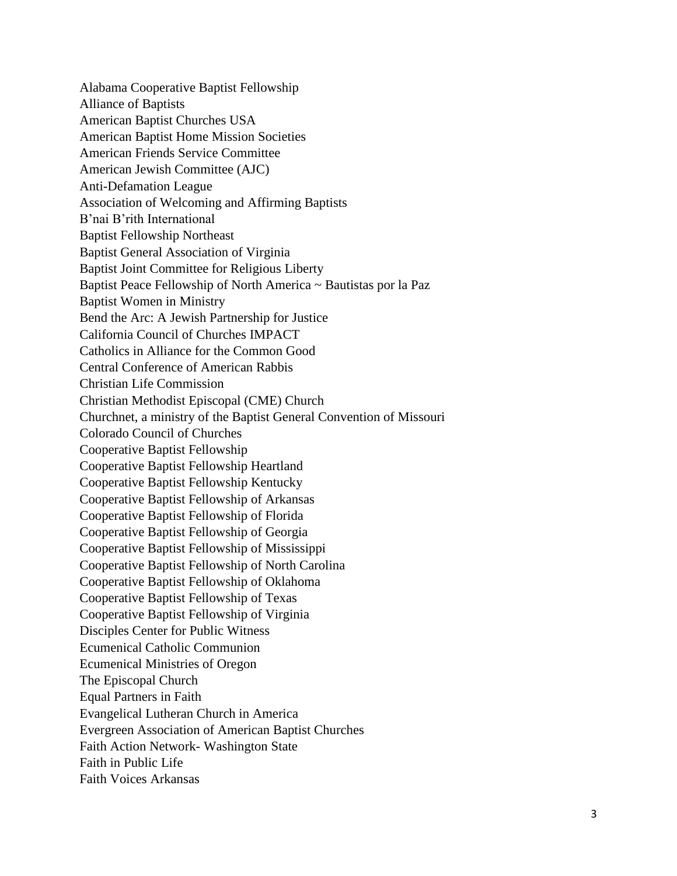Alabama Cooperative Baptist Fellowship Alliance of Baptists American Baptist Churches USA American Baptist Home Mission Societies American Friends Service Committee American Jewish Committee (AJC) Anti-Defamation League Association of Welcoming and Affirming Baptists B'nai B'rith International Baptist Fellowship Northeast Baptist General Association of Virginia Baptist Joint Committee for Religious Liberty Baptist Peace Fellowship of North America ~ Bautistas por la Paz Baptist Women in Ministry Bend the Arc: A Jewish Partnership for Justice California Council of Churches IMPACT Catholics in Alliance for the Common Good Central Conference of American Rabbis Christian Life Commission Christian Methodist Episcopal (CME) Church Churchnet, a ministry of the Baptist General Convention of Missouri Colorado Council of Churches Cooperative Baptist Fellowship Cooperative Baptist Fellowship Heartland Cooperative Baptist Fellowship Kentucky Cooperative Baptist Fellowship of Arkansas Cooperative Baptist Fellowship of Florida Cooperative Baptist Fellowship of Georgia Cooperative Baptist Fellowship of Mississippi Cooperative Baptist Fellowship of North Carolina Cooperative Baptist Fellowship of Oklahoma Cooperative Baptist Fellowship of Texas Cooperative Baptist Fellowship of Virginia Disciples Center for Public Witness Ecumenical Catholic Communion Ecumenical Ministries of Oregon The Episcopal Church Equal Partners in Faith Evangelical Lutheran Church in America Evergreen Association of American Baptist Churches Faith Action Network- Washington State Faith in Public Life Faith Voices Arkansas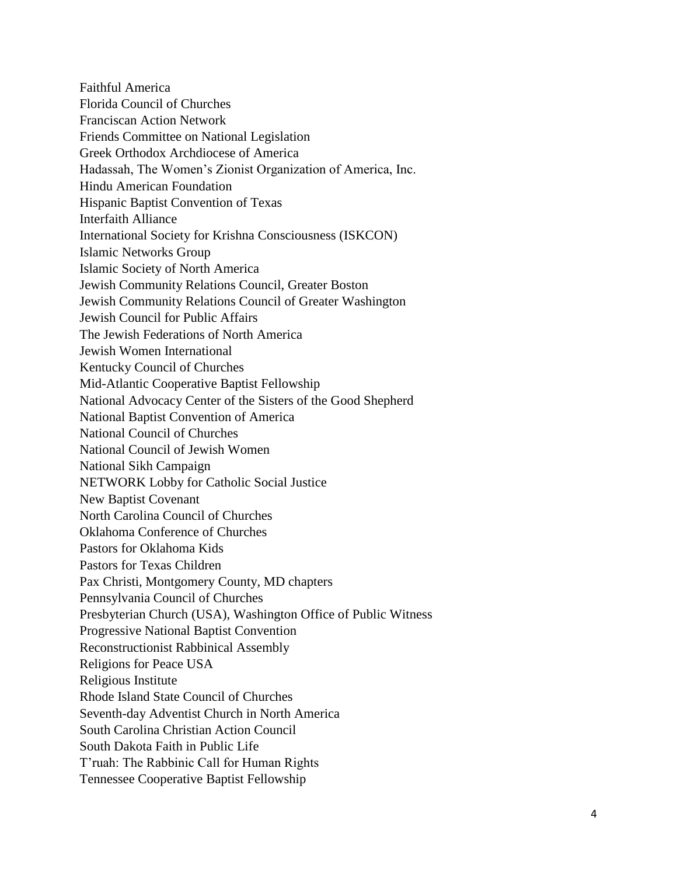Faithful America Florida Council of Churches Franciscan Action Network Friends Committee on National Legislation Greek Orthodox Archdiocese of America Hadassah, The Women's Zionist Organization of America, Inc. Hindu American Foundation Hispanic Baptist Convention of Texas Interfaith Alliance International Society for Krishna Consciousness (ISKCON) Islamic Networks Group Islamic Society of North America Jewish Community Relations Council, Greater Boston Jewish Community Relations Council of Greater Washington Jewish Council for Public Affairs The Jewish Federations of North America Jewish Women International Kentucky Council of Churches Mid-Atlantic Cooperative Baptist Fellowship National Advocacy Center of the Sisters of the Good Shepherd National Baptist Convention of America National Council of Churches National Council of Jewish Women National Sikh Campaign NETWORK Lobby for Catholic Social Justice New Baptist Covenant North Carolina Council of Churches Oklahoma Conference of Churches Pastors for Oklahoma Kids Pastors for Texas Children Pax Christi, Montgomery County, MD chapters Pennsylvania Council of Churches Presbyterian Church (USA), Washington Office of Public Witness Progressive National Baptist Convention Reconstructionist Rabbinical Assembly Religions for Peace USA Religious Institute Rhode Island State Council of Churches Seventh-day Adventist Church in North America South Carolina Christian Action Council South Dakota Faith in Public Life T'ruah: The Rabbinic Call for Human Rights Tennessee Cooperative Baptist Fellowship